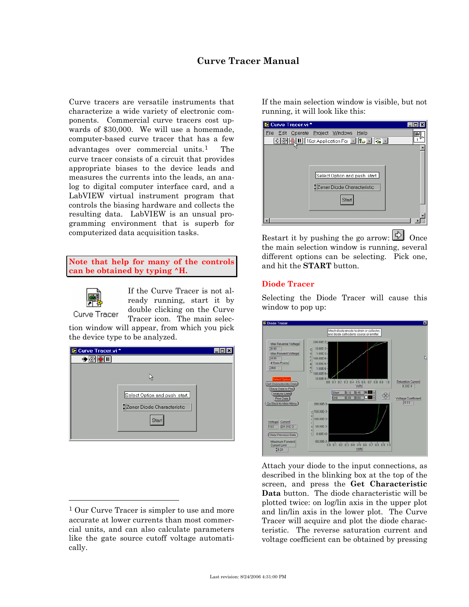# **Curve Tracer Manual**

Curve tracers are versatile instruments that characterize a wide variety of electronic components. Commercial curve tracers cost upwards of \$30,000. We will use a homemade, computer-based curve tracer that has a few advantages over commercial units.[1](#page-0-0) The curve tracer consists of a circuit that provides appropriate biases to the device leads and measures the currents into the leads, an analog to digital computer interface card, and a LabVIEW virtual instrument program that controls the biasing hardware and collects the resulting data. LabVIEW is an unsual programming environment that is superb for computerized data acquisition tasks.

**Note that help for many of the controls can be obtained by typing ^H.** 



l

If the Curve Tracer is not already running, start it by double clicking on the Curve Tracer icon. The main selec-

tion window will appear, from which you pick the device type to be analyzed.

| Curve Tracer.vi*              |  |
|-------------------------------|--|
| 嶆                             |  |
|                               |  |
| ۲ļ                            |  |
|                               |  |
| Select Option and push start. |  |
| Zener Diode Characteristic    |  |
| <b>Start</b>                  |  |
|                               |  |
|                               |  |

If the main selection window is visible, but not running, it will look like this:

| Curve Tracer.vi*                                        |  |
|---------------------------------------------------------|--|
| Edit Operate Project Windows<br>Help<br>File            |  |
| <u> ☆ ֎  ▒  Ⅱ  ∏ fipt Application For 로   ೄ 로   ೄ 로</u> |  |
|                                                         |  |
|                                                         |  |
|                                                         |  |
| Select Option and push start.                           |  |
|                                                         |  |
| Zener Diode Characteristic                              |  |
| Start                                                   |  |
|                                                         |  |
|                                                         |  |
|                                                         |  |

Restart it by pushing the go arrow:  $\overrightarrow{P}$  Once the main selection window is running, several different options can be selecting. Pick one, and hit the **START** button.

### **Diode Tracer**

Selecting the Diode Tracer will cause this window to pop up:



Attach your diode to the input connections, as described in the blinking box at the top of the screen, and press the **Get Characteristic Data** button. The diode characteristic will be plotted twice: on log/lin axis in the upper plot and lin/lin axis in the lower plot. The Curve Tracer will acquire and plot the diode characteristic. The reverse saturation current and voltage coefficient can be obtained by pressing

<span id="page-0-0"></span><sup>&</sup>lt;sup>1</sup> Our Curve Tracer is simpler to use and more accurate at lower currents than most commercial units, and can also calculate parameters like the gate source cutoff voltage automatically.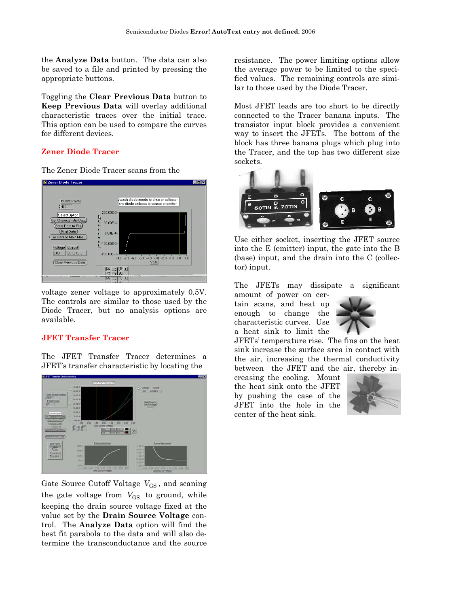the **Analyze Data** button. The data can also be saved to a file and printed by pressing the appropriate buttons.

Toggling the **Clear Previous Data** button to **Keep Previous Data** will overlay additional characteristic traces over the initial trace. This option can be used to compare the curves for different devices.

## **Zener Diode Tracer**

The Zener Diode Tracer scans from the



voltage zener voltage to approximately 0.5V. The controls are similar to those used by the Diode Tracer, but no analysis options are available.

### **JFET Transfer Tracer**

The JFET Transfer Tracer determines a JFET's transfer characteristic by locating the



Gate Source Cutoff Voltage  $V_{\rm GS}$ , and scaning the gate voltage from  $V_{\text{GS}}$  to ground, while keeping the drain source voltage fixed at the value set by the **Drain Source Voltage** control. The **Analyze Data** option will find the best fit parabola to the data and will also determine the transconductance and the source

resistance. The power limiting options allow the average power to be limited to the specified values. The remaining controls are similar to those used by the Diode Tracer.

Most JFET leads are too short to be directly connected to the Tracer banana inputs. The transistor input block provides a convenient way to insert the JFETs. The bottom of the block has three banana plugs which plug into the Tracer, and the top has two different size sockets.



Use either socket, inserting the JFET source into the E (emitter) input, the gate into the B (base) input, and the drain into the C (collector) input.

The JFETs may dissipate a significant

amount of power on certain scans, and heat up enough to change the characteristic curves. Use a heat sink to limit the



JFETs' temperature rise. The fins on the heat sink increase the surface area in contact with the air, increasing the thermal conductivity between the JFET and the air, thereby in-

creasing the cooling. Mount the heat sink onto the JFET by pushing the case of the JFET into the hole in the center of the heat sink.